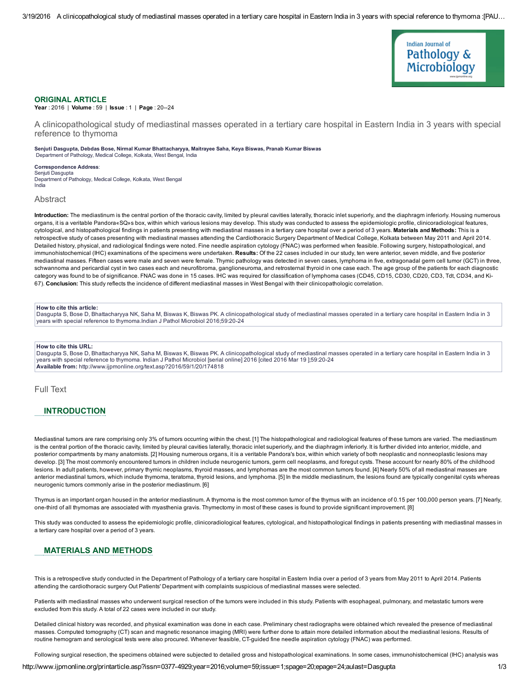

### ORIGINAL ARTICLE

Year: 2016 | Volume: 59 | Issue: 1 | Page: 20--24

A clinicopathological study of mediastinal masses operated in a tertiary care hospital in Eastern India in 3 years with special reference to thymoma

#### Senjuti Dasgupta, Debdas Bose, Nirmal Kumar Bhattacharyya, Maitrayee Saha, Keya Biswas, Pranab Kumar Biswas Department of Pathology, Medical College, Kolkata, West Bengal, India

Correspondence Address: Senjuti Dasgupta Department of Pathology, Medical College, Kolkata, West Bengal India

#### Abstract

Introduction: The mediastinum is the central portion of the thoracic cavity, limited by pleural cavities laterally, thoracic inlet superiorly, and the diaphragm inferiorly. Housing numerous organs, it is a veritable Pandora«SQ»s box, within which various lesions may develop. This study was conducted to assess the epidemiologic profile, clinicoradiological features, cytological, and histopathological findings in patients presenting with mediastinal masses in a tertiary care hospital over a period of 3 years. Materials and Methods: This is a retrospective study of cases presenting with mediastinal masses attending the Cardiothoracic Surgery Department of Medical College, Kolkata between May 2011 and April 2014. Detailed history, physical, and radiological findings were noted. Fine needle aspiration cytology (FNAC) was performed when feasible. Following surgery, histopathological, and immunohistochemical (IHC) examinations of the specimens were undertaken. Results: Of the 22 cases included in our study, ten were anterior, seven middle, and five posterior mediastinal masses. Fifteen cases were male and seven were female. Thymic pathology was detected in seven cases, lymphoma in five, extragonadal germ cell tumor (GCT) in three, schwannoma and pericardial cyst in two cases each and neurofibroma, ganglioneuroma, and retrosternal thyroid in one case each. The age group of the patients for each diagnostic category was found to be of significance. FNAC was done in 15 cases. IHC was required for classification of lymphoma cases (CD45, CD15, CD30, CD20, CD3, Tdt, CD34, and Ki-67). Conclusion: This study reflects the incidence of different mediastinal masses in West Bengal with their clinicopathologic correlation.

### How to cite this article:

Dasgupta S, Bose D, Bhattacharyya NK, Saha M, Biswas K, Biswas PK. A clinicopathological study of mediastinal masses operated in a tertiary care hospital in Eastern India in 3 years with special reference to thymoma.Indian J Pathol Microbiol 2016;59:20-24

#### How to cite this URL:

Dasgupta S, Bose D, Bhattacharyya NK, Saha M, Biswas K, Biswas PK. A clinicopathological study of mediastinal masses operated in a tertiary care hospital in Eastern India in 3 years with special reference to thymoma. Indian J Pathol Microbiol [serial online] 2016 [cited 2016 Mar 19 ];59:20-24 Available from: http://www.ijpmonline.org/text.asp?2016/59/1/20/174818

## Full Text

# **INTRODUCTION**

Mediastinal tumors are rare comprising only 3% of tumors occurring within the chest. [1] The histopathological and radiological features of these tumors are varied. The mediastinum is the central portion of the thoracic cavity, limited by pleural cavities laterally, thoracic inlet superiorly, and the diaphragm inferiorly. It is further divided into anterior, middle, and posterior compartments by many anatomists. [2] Housing numerous organs, it is a veritable Pandora's box, within which variety of both neoplastic and nonneoplastic lesions may develop. [3] The most commonly encountered tumors in children include neurogenic tumors, germ cell neoplasms, and foregut cysts. These account for nearly 80% of the childhood lesions. In adult patients, however, primary thymic neoplasms, thyroid masses, and lymphomas are the most common tumors found. [4] Nearly 50% of all mediastinal masses are anterior mediastinal tumors, which include thymoma, teratoma, thyroid lesions, and lymphoma. [5] In the middle mediastinum, the lesions found are typically congenital cysts whereas neurogenic tumors commonly arise in the posterior mediastinum. [6]

Thymus is an important organ housed in the anterior mediastinum. A thymoma is the most common tumor of the thymus with an incidence of 0.15 per 100,000 person years. [7] Nearly, onethird of all thymomas are associated with myasthenia gravis. Thymectomy in most of these cases is found to provide significant improvement. [8]

This study was conducted to assess the epidemiologic profile, clinicoradiological features, cytological, and histopathological findings in patients presenting with mediastinal masses in a tertiary care hospital over a period of 3 years.

### MATERIALS AND METHODS

This is a retrospective study conducted in the Department of Pathology of a tertiary care hospital in Eastern India over a period of 3 years from May 2011 to April 2014. Patients attending the cardiothoracic surgery Out Patients' Department with complaints suspicious of mediastinal masses were selected.

Patients with mediastinal masses who underwent surgical resection of the tumors were included in this study. Patients with esophageal, pulmonary, and metastatic tumors were excluded from this study. A total of 22 cases were included in our study.

Detailed clinical history was recorded, and physical examination was done in each case. Preliminary chest radiographs were obtained which revealed the presence of mediastinal masses. Computed tomography (CT) scan and magnetic resonance imaging (MRI) were further done to attain more detailed information about the mediastinal lesions. Results of routine hemogram and serological tests were also procured. Whenever feasible, CT-guided fine needle aspiration cytology (FNAC) was performed.

Following surgical resection, the specimens obtained were subjected to detailed gross and histopathological examinations. In some cases, immunohistochemical (IHC) analysis was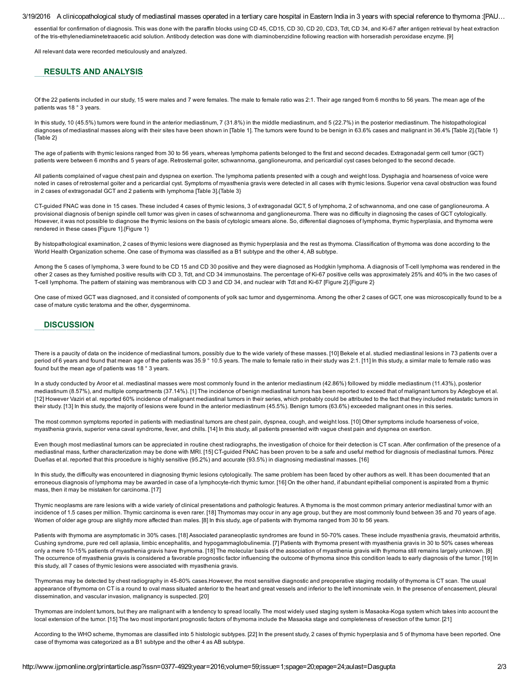#### 3/19/2016 A clinicopathological study of mediastinal masses operated in a tertiary care hospital in Eastern India in 3 years with special reference to thymoma :[PAU…

essential for confirmation of diagnosis. This was done with the paraffin blocks using CD 45, CD15, CD 30, CD 20, CD3, Tdt, CD 34, and Ki-67 after antigen retrieval by heat extraction of the trisethylenediaminetetraacetic acid solution. Antibody detection was done with diaminobenzidine following reaction with horseradish peroxidase enzyme. [9]

All relevant data were recorded meticulously and analyzed.

## RESULTS AND ANALYSIS

Of the 22 patients included in our study, 15 were males and 7 were females. The male to female ratio was 2:1. Their age ranged from 6 months to 56 years. The mean age of the patients was 18 ° 3 years.

In this study, 10 (45.5%) tumors were found in the anterior mediastinum, 7 (31.8%) in the middle mediastinum, and 5 (22.7%) in the posterior mediastinum. The histopathological diagnoses of mediastinal masses along with their sites have been shown in [Table 1]. The tumors were found to be benign in 63.6% cases and malignant in 36.4% [Table 2]. [Table 1] {Table 2}

The age of patients with thymic lesions ranged from 30 to 56 years, whereas lymphoma patients belonged to the first and second decades. Extragonadal germ cell tumor (GCT) patients were between 6 months and 5 years of age. Retrosternal goiter, schwannoma, ganglioneuroma, and pericardial cyst cases belonged to the second decade.

All patients complained of vague chest pain and dyspnea on exertion. The lymphoma patients presented with a cough and weight loss. Dysphagia and hoarseness of voice were noted in cases of retrosternal goiter and a pericardial cyst. Symptoms of myasthenia gravis were detected in all cases with thymic lesions. Superior vena caval obstruction was found in 2 cases of extragonadal GCT and 2 patients with lymphoma [Table 3].{Table 3}

CT-quided FNAC was done in 15 cases. These included 4 cases of thymic lesions, 3 of extragonadal GCT, 5 of lymphoma, 2 of schwannoma, and one case of ganglioneuroma. A provisional diagnosis of benign spindle cell tumor was given in cases of schwannoma and ganglioneuroma. There was no difficulty in diagnosing the cases of GCT cytologically. However, it was not possible to diagnose the thymic lesions on the basis of cytologic smears alone. So, differential diagnoses of lymphoma, thymic hyperplasia, and thymoma were rendered in these cases [Figure 1].{Figure 1}

By histopathological examination, 2 cases of thymic lesions were diagnosed as thymic hyperplasia and the rest as thymoma. Classification of thymoma was done according to the World Health Organization scheme. One case of thymoma was classified as a B1 subtype and the other 4, AB subtype.

Among the 5 cases of lymphoma, 3 were found to be CD 15 and CD 30 positive and they were diagnosed as Hodgkin lymphoma. A diagnosis of T-cell lymphoma was rendered in the other 2 cases as they furnished positive results with CD 3, Tdt, and CD 34 immunostains. The percentage of Ki-67 positive cells was approximately 25% and 40% in the two cases of T-cell lymphoma. The pattern of staining was membranous with CD 3 and CD 34, and nuclear with Tdt and Ki-67 [Figure 2]. {Figure 2}

One case of mixed GCT was diagnosed, and it consisted of components of yolk sac tumor and dysgerminoma. Among the other 2 cases of GCT, one was microscopically found to be a case of mature cystic teratoma and the other, dysgerminoma.

### **DISCUSSION**

There is a paucity of data on the incidence of mediastinal tumors, possibly due to the wide variety of these masses. [10] Bekele et al. studied mediastinal lesions in 73 patients over a period of 6 years and found that mean age of the patients was 35.9 ° 10.5 years. The male to female ratio in their study was 2:1. [11] In this study, a similar male to female ratio was found but the mean age of patients was 18 ° 3 years.

In a study conducted by Aroor et al. mediastinal masses were most commonly found in the anterior mediastinum (42.86%) followed by middle mediastinum (11.43%), posterior mediastinum (8.57%), and multiple compartments (37.14%). [1] The incidence of benign mediastinal tumors has been reported to exceed that of malignant tumors by Adegboye et al. [12] However Vaziri et al. reported 60% incidence of malignant mediastinal tumors in their series, which probably could be attributed to the fact that they included metastatic tumors in their study. [13] In this study, the majority of lesions were found in the anterior mediastinum (45.5%). Benign tumors (63.6%) exceeded malignant ones in this series.

The most common symptoms reported in patients with mediastinal tumors are chest pain, dyspnea, cough, and weight loss. [10] Other symptoms include hoarseness of voice, myasthenia gravis, superior vena caval syndrome, fever, and chills. [14] In this study, all patients presented with vague chest pain and dyspnea on exertion.

Even though most mediastinal tumors can be appreciated in routine chest radiographs, the investigation of choice for their detection is CT scan. After confirmation of the presence of a mediastinal mass, further characterization may be done with MRI. [15] CT-guided FNAC has been proven to be a safe and useful method for diagnosis of mediastinal tumors. Pérez Dueñas et al. reported that this procedure is highly sensitive (95.2%) and accurate (93.5%) in diagnosing mediastinal masses. [16]

In this study, the difficulty was encountered in diagnosing thymic lesions cytologically. The same problem has been faced by other authors as well. It has been documented that an erroneous diagnosis of lymphoma may be awarded in case of a lymphocyte-rich thymic tumor. [16] On the other hand, if abundant epithelial component is aspirated from a thymic mass, then it may be mistaken for carcinoma. [17]

Thymic neoplasms are rare lesions with a wide variety of clinical presentations and pathologic features. A thymoma is the most common primary anterior mediastinal tumor with an incidence of 1.5 cases per million. Thymic carcinoma is even rarer. [18] Thymomas may occur in any age group, but they are most commonly found between 35 and 70 years of age. Women of older age group are slightly more affected than males. [8] In this study, age of patients with thymoma ranged from 30 to 56 years.

Patients with thymoma are asymptomatic in 30% cases. [18] Associated paraneoplastic syndromes are found in 50-70% cases. These include myasthenia gravis, rheumatoid arthritis, Cushing syndrome, pure red cell aplasia, limbic encephalitis, and hypogammaglobulinemia. [7] Patients with thymoma present with myasthenia gravis in 30 to 50% cases whereas only a mere 10-15% patients of myasthenia gravis have thymoma. [18] The molecular basis of the association of myasthenia gravis with thymoma still remains largely unknown. [8] The occurrence of myasthenia gravis is considered a favorable prognostic factor influencing the outcome of thymoma since this condition leads to early diagnosis of the tumor. [19] In this study, all 7 cases of thymic lesions were associated with myasthenia gravis.

Thymomas may be detected by chest radiography in 4580% cases.However, the most sensitive diagnostic and preoperative staging modality of thymoma is CT scan. The usual appearance of thymoma on CT is a round to oval mass situated anterior to the heart and great vessels and inferior to the left innominate vein. In the presence of encasement, pleural dissemination, and vascular invasion, malignancy is suspected. [20]

Thymomas are indolent tumors, but they are malignant with a tendency to spread locally. The most widely used staging system is Masaoka-Koga system which takes into account the local extension of the tumor. [15] The two most important prognostic factors of thymoma include the Masaoka stage and completeness of resection of the tumor. [21]

According to the WHO scheme, thymomas are classified into 5 histologic subtypes. [22] In the present study, 2 cases of thymic hyperplasia and 5 of thymoma have been reported. One case of thymoma was categorized as a B1 subtype and the other 4 as AB subtype.